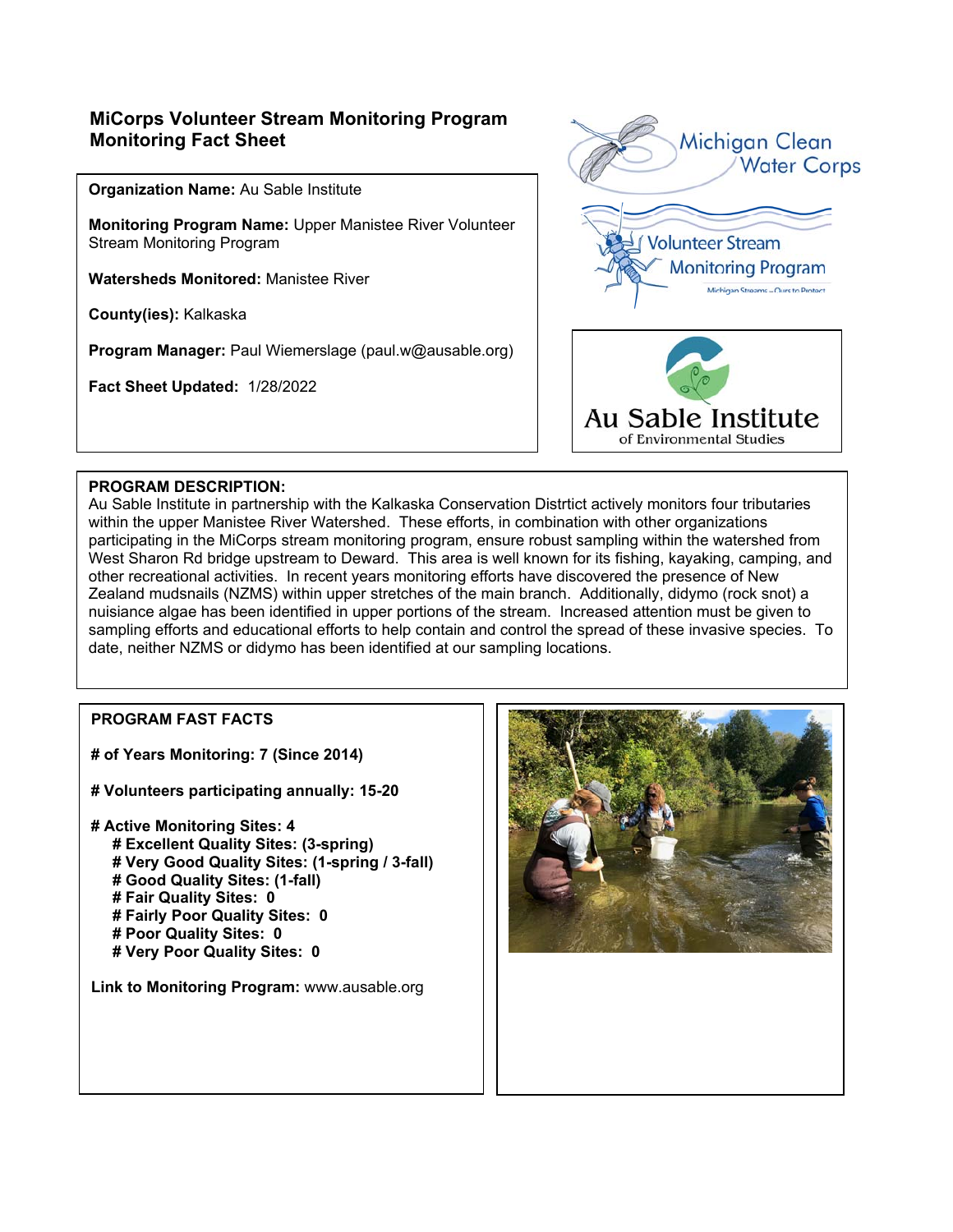# **MiCorps Volunteer Stream Monitoring Program Monitoring Fact Sheet**

**Organization Name:** Au Sable Institute

**Monitoring Program Name:** Upper Manistee River Volunteer Stream Monitoring Program

**Watersheds Monitored:** Manistee River

**County(ies):** Kalkaska

**Program Manager:** Paul Wiemerslage (paul.w@ausable.org)

**Fact Sheet Updated:** 1/28/2022



#### **PROGRAM DESCRIPTION:**

Au Sable Institute in partnership with the Kalkaska Conservation Distrtict actively monitors four tributaries within the upper Manistee River Watershed. These efforts, in combination with other organizations participating in the MiCorps stream monitoring program, ensure robust sampling within the watershed from West Sharon Rd bridge upstream to Deward. This area is well known for its fishing, kayaking, camping, and other recreational activities. In recent years monitoring efforts have discovered the presence of New Zealand mudsnails (NZMS) within upper stretches of the main branch. Additionally, didymo (rock snot) a nuisiance algae has been identified in upper portions of the stream. Increased attention must be given to sampling efforts and educational efforts to help contain and control the spread of these invasive species. To date, neither NZMS or didymo has been identified at our sampling locations.

### **PROGRAM FAST FACTS**

**# of Years Monitoring: 7 (Since 2014)** 

- **# Volunteers participating annually: 15-20**
- **# Active Monitoring Sites: 4 # Excellent Quality Sites: (3-spring) # Very Good Quality Sites: (1-spring / 3-fall) # Good Quality Sites: (1-fall) # Fair Quality Sites: 0 # Fairly Poor Quality Sites: 0 # Poor Quality Sites: 0 # Very Poor Quality Sites: 0**

**Link to Monitoring Program:** www.ausable.org